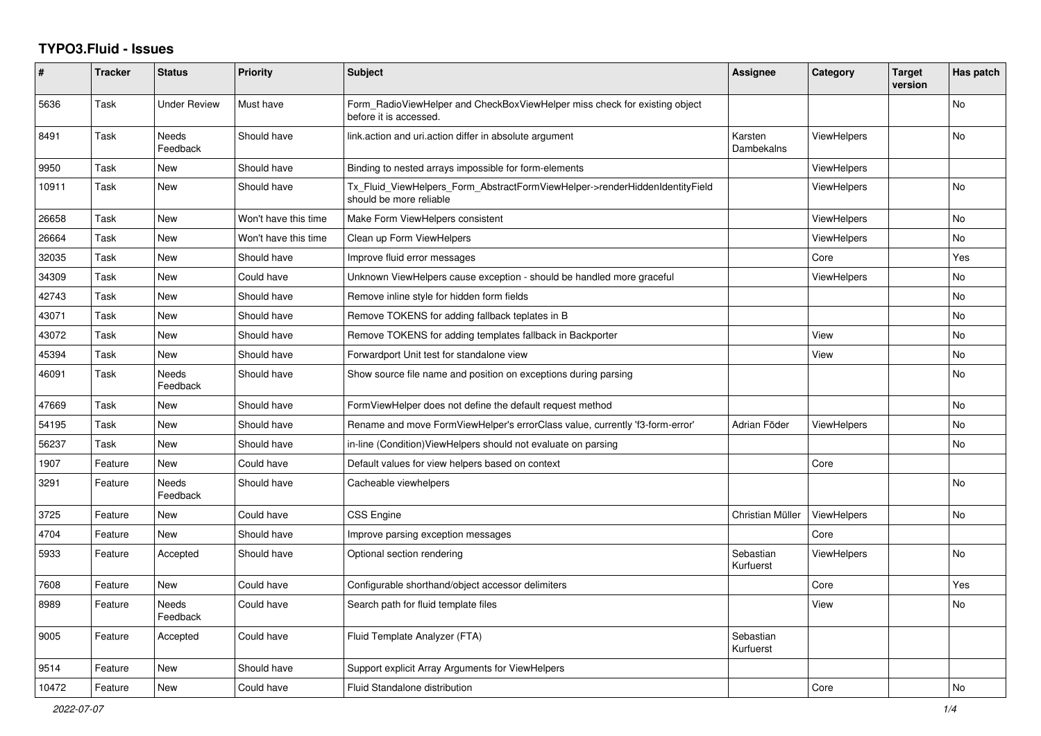## **TYPO3.Fluid - Issues**

| #     | <b>Tracker</b> | <b>Status</b>            | <b>Priority</b>      | <b>Subject</b>                                                                                         | Assignee               | Category           | <b>Target</b><br>version | Has patch      |
|-------|----------------|--------------------------|----------------------|--------------------------------------------------------------------------------------------------------|------------------------|--------------------|--------------------------|----------------|
| 5636  | Task           | Under Review             | Must have            | Form RadioViewHelper and CheckBoxViewHelper miss check for existing object<br>before it is accessed.   |                        |                    |                          | No             |
| 8491  | Task           | <b>Needs</b><br>Feedback | Should have          | link.action and uri.action differ in absolute argument                                                 | Karsten<br>Dambekalns  | <b>ViewHelpers</b> |                          | <b>No</b>      |
| 9950  | Task           | New                      | Should have          | Binding to nested arrays impossible for form-elements                                                  |                        | ViewHelpers        |                          |                |
| 10911 | Task           | New                      | Should have          | Tx_Fluid_ViewHelpers_Form_AbstractFormViewHelper->renderHiddenIdentityField<br>should be more reliable |                        | <b>ViewHelpers</b> |                          | <b>No</b>      |
| 26658 | Task           | New                      | Won't have this time | Make Form ViewHelpers consistent                                                                       |                        | ViewHelpers        |                          | No             |
| 26664 | Task           | New                      | Won't have this time | Clean up Form ViewHelpers                                                                              |                        | <b>ViewHelpers</b> |                          | No             |
| 32035 | Task           | New                      | Should have          | Improve fluid error messages                                                                           |                        | Core               |                          | Yes            |
| 34309 | Task           | New                      | Could have           | Unknown ViewHelpers cause exception - should be handled more graceful                                  |                        | ViewHelpers        |                          | <b>No</b>      |
| 42743 | Task           | New                      | Should have          | Remove inline style for hidden form fields                                                             |                        |                    |                          | No             |
| 43071 | Task           | New                      | Should have          | Remove TOKENS for adding fallback teplates in B                                                        |                        |                    |                          | No             |
| 43072 | Task           | New                      | Should have          | Remove TOKENS for adding templates fallback in Backporter                                              |                        | View               |                          | No             |
| 45394 | Task           | New                      | Should have          | Forwardport Unit test for standalone view                                                              |                        | View               |                          | No             |
| 46091 | Task           | Needs<br>Feedback        | Should have          | Show source file name and position on exceptions during parsing                                        |                        |                    |                          | No             |
| 47669 | Task           | New                      | Should have          | FormViewHelper does not define the default request method                                              |                        |                    |                          | <b>No</b>      |
| 54195 | Task           | New                      | Should have          | Rename and move FormViewHelper's errorClass value, currently 'f3-form-error'                           | Adrian Föder           | <b>ViewHelpers</b> |                          | No             |
| 56237 | Task           | New                      | Should have          | in-line (Condition) View Helpers should not evaluate on parsing                                        |                        |                    |                          | No             |
| 1907  | Feature        | <b>New</b>               | Could have           | Default values for view helpers based on context                                                       |                        | Core               |                          |                |
| 3291  | Feature        | <b>Needs</b><br>Feedback | Should have          | Cacheable viewhelpers                                                                                  |                        |                    |                          | N <sub>o</sub> |
| 3725  | Feature        | <b>New</b>               | Could have           | CSS Engine                                                                                             | Christian Müller       | ViewHelpers        |                          | <b>No</b>      |
| 4704  | Feature        | New                      | Should have          | Improve parsing exception messages                                                                     |                        | Core               |                          |                |
| 5933  | Feature        | Accepted                 | Should have          | Optional section rendering                                                                             | Sebastian<br>Kurfuerst | <b>ViewHelpers</b> |                          | <b>No</b>      |
| 7608  | Feature        | New                      | Could have           | Configurable shorthand/object accessor delimiters                                                      |                        | Core               |                          | Yes            |
| 8989  | Feature        | Needs<br>Feedback        | Could have           | Search path for fluid template files                                                                   |                        | View               |                          | No             |
| 9005  | Feature        | Accepted                 | Could have           | Fluid Template Analyzer (FTA)                                                                          | Sebastian<br>Kurfuerst |                    |                          |                |
| 9514  | Feature        | <b>New</b>               | Should have          | Support explicit Array Arguments for ViewHelpers                                                       |                        |                    |                          |                |
| 10472 | Feature        | <b>New</b>               | Could have           | Fluid Standalone distribution                                                                          |                        | Core               |                          | <b>No</b>      |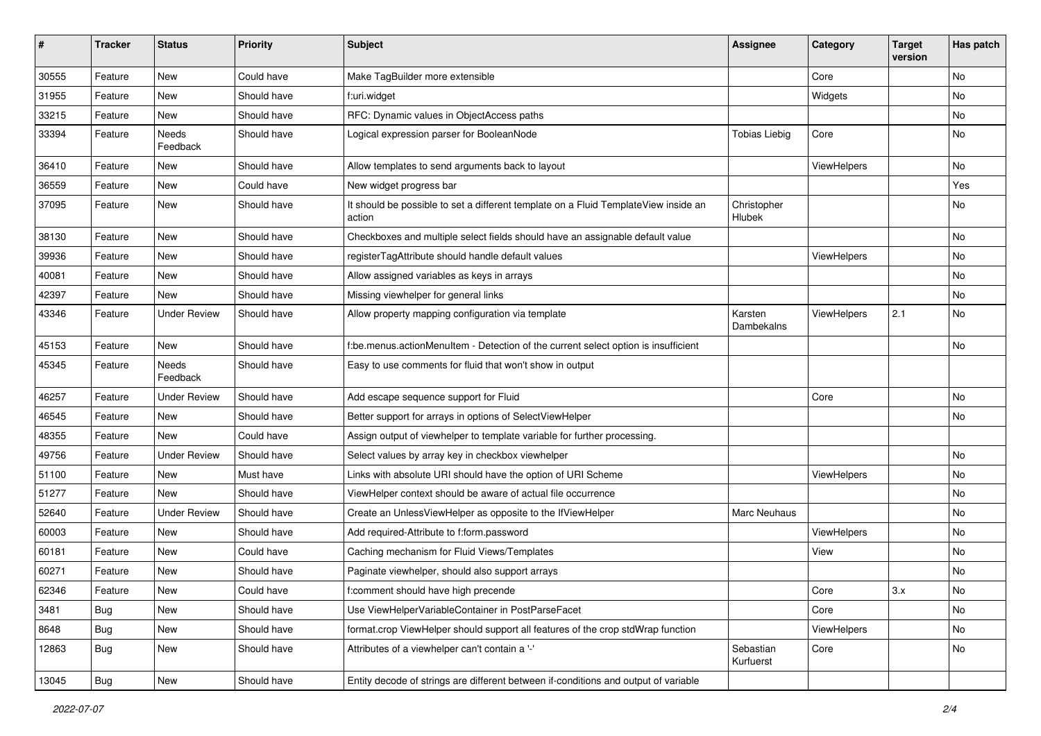| $\#$  | <b>Tracker</b> | <b>Status</b>       | <b>Priority</b> | <b>Subject</b>                                                                                | <b>Assignee</b>        | Category    | <b>Target</b><br>version | Has patch |
|-------|----------------|---------------------|-----------------|-----------------------------------------------------------------------------------------------|------------------------|-------------|--------------------------|-----------|
| 30555 | Feature        | New                 | Could have      | Make TagBuilder more extensible                                                               |                        | Core        |                          | <b>No</b> |
| 31955 | Feature        | New                 | Should have     | f:uri.widget                                                                                  |                        | Widgets     |                          | No        |
| 33215 | Feature        | New                 | Should have     | RFC: Dynamic values in ObjectAccess paths                                                     |                        |             |                          | No        |
| 33394 | Feature        | Needs<br>Feedback   | Should have     | Logical expression parser for BooleanNode                                                     | <b>Tobias Liebig</b>   | Core        |                          | No        |
| 36410 | Feature        | New                 | Should have     | Allow templates to send arguments back to layout                                              |                        | ViewHelpers |                          | No        |
| 36559 | Feature        | New                 | Could have      | New widget progress bar                                                                       |                        |             |                          | Yes       |
| 37095 | Feature        | New                 | Should have     | It should be possible to set a different template on a Fluid TemplateView inside an<br>action | Christopher<br>Hlubek  |             |                          | No        |
| 38130 | Feature        | New                 | Should have     | Checkboxes and multiple select fields should have an assignable default value                 |                        |             |                          | No        |
| 39936 | Feature        | New                 | Should have     | registerTagAttribute should handle default values                                             |                        | ViewHelpers |                          | No        |
| 40081 | Feature        | New                 | Should have     | Allow assigned variables as keys in arrays                                                    |                        |             |                          | No        |
| 42397 | Feature        | New                 | Should have     | Missing viewhelper for general links                                                          |                        |             |                          | No        |
| 43346 | Feature        | <b>Under Review</b> | Should have     | Allow property mapping configuration via template                                             | Karsten<br>Dambekalns  | ViewHelpers | 2.1                      | No        |
| 45153 | Feature        | New                 | Should have     | f:be.menus.actionMenuItem - Detection of the current select option is insufficient            |                        |             |                          | No        |
| 45345 | Feature        | Needs<br>Feedback   | Should have     | Easy to use comments for fluid that won't show in output                                      |                        |             |                          |           |
| 46257 | Feature        | Under Review        | Should have     | Add escape sequence support for Fluid                                                         |                        | Core        |                          | No        |
| 46545 | Feature        | New                 | Should have     | Better support for arrays in options of SelectViewHelper                                      |                        |             |                          | No        |
| 48355 | Feature        | New                 | Could have      | Assign output of viewhelper to template variable for further processing.                      |                        |             |                          |           |
| 49756 | Feature        | <b>Under Review</b> | Should have     | Select values by array key in checkbox viewhelper                                             |                        |             |                          | No        |
| 51100 | Feature        | New                 | Must have       | Links with absolute URI should have the option of URI Scheme                                  |                        | ViewHelpers |                          | No        |
| 51277 | Feature        | New                 | Should have     | ViewHelper context should be aware of actual file occurrence                                  |                        |             |                          | No        |
| 52640 | Feature        | <b>Under Review</b> | Should have     | Create an UnlessViewHelper as opposite to the IfViewHelper                                    | Marc Neuhaus           |             |                          | No        |
| 60003 | Feature        | New                 | Should have     | Add required-Attribute to f:form.password                                                     |                        | ViewHelpers |                          | No        |
| 60181 | Feature        | New                 | Could have      | Caching mechanism for Fluid Views/Templates                                                   |                        | View        |                          | No        |
| 60271 | Feature        | New                 | Should have     | Paginate viewhelper, should also support arrays                                               |                        |             |                          | No        |
| 62346 | Feature        | New                 | Could have      | f:comment should have high precende                                                           |                        | Core        | 3.x                      | No        |
| 3481  | Bug            | New                 | Should have     | Use ViewHelperVariableContainer in PostParseFacet                                             |                        | Core        |                          | No        |
| 8648  | Bug            | New                 | Should have     | format.crop ViewHelper should support all features of the crop stdWrap function               |                        | ViewHelpers |                          | No        |
| 12863 | Bug            | New                 | Should have     | Attributes of a viewhelper can't contain a '-'                                                | Sebastian<br>Kurfuerst | Core        |                          | No        |
| 13045 | Bug            | New                 | Should have     | Entity decode of strings are different between if-conditions and output of variable           |                        |             |                          |           |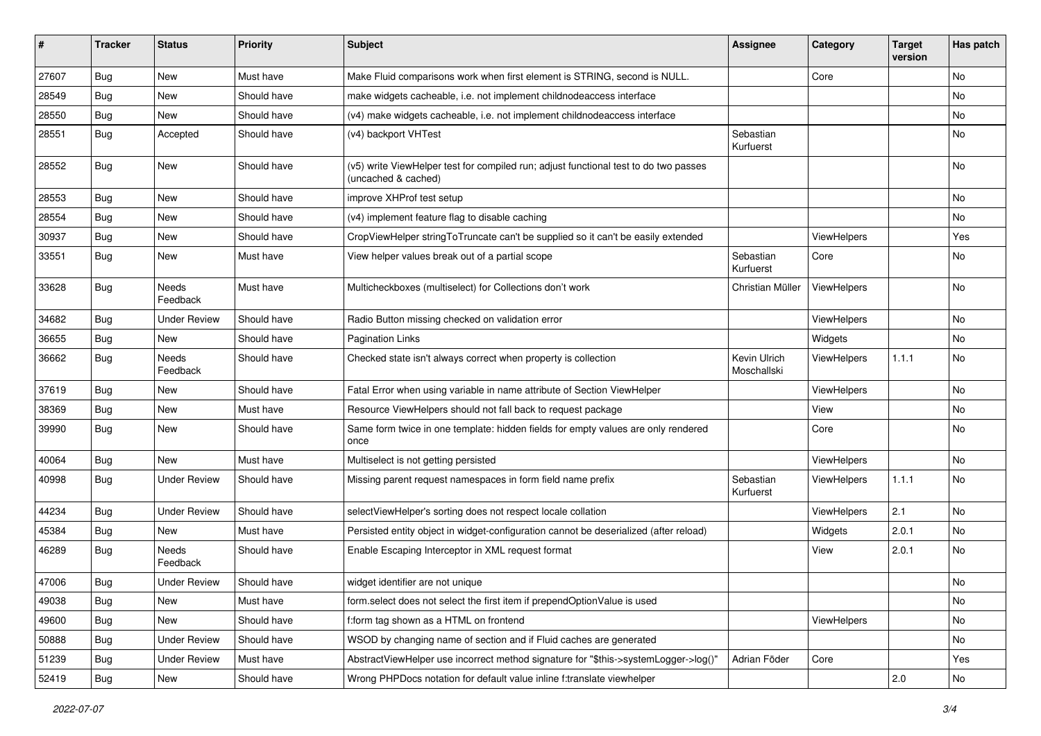| ∦     | <b>Tracker</b> | <b>Status</b>            | <b>Priority</b> | <b>Subject</b>                                                                                              | <b>Assignee</b>             | Category    | <b>Target</b><br>version | Has patch |
|-------|----------------|--------------------------|-----------------|-------------------------------------------------------------------------------------------------------------|-----------------------------|-------------|--------------------------|-----------|
| 27607 | Bug            | New                      | Must have       | Make Fluid comparisons work when first element is STRING, second is NULL.                                   |                             | Core        |                          | No        |
| 28549 | Bug            | New                      | Should have     | make widgets cacheable, i.e. not implement childnodeaccess interface                                        |                             |             |                          | No        |
| 28550 | Bug            | New                      | Should have     | (v4) make widgets cacheable, i.e. not implement childnodeaccess interface                                   |                             |             |                          | No        |
| 28551 | Bug            | Accepted                 | Should have     | (v4) backport VHTest                                                                                        | Sebastian<br>Kurfuerst      |             |                          | No        |
| 28552 | Bug            | <b>New</b>               | Should have     | (v5) write ViewHelper test for compiled run; adjust functional test to do two passes<br>(uncached & cached) |                             |             |                          | No        |
| 28553 | Bug            | New                      | Should have     | improve XHProf test setup                                                                                   |                             |             |                          | No.       |
| 28554 | Bug            | New                      | Should have     | (v4) implement feature flag to disable caching                                                              |                             |             |                          | No        |
| 30937 | Bug            | New                      | Should have     | CropViewHelper stringToTruncate can't be supplied so it can't be easily extended                            |                             | ViewHelpers |                          | Yes       |
| 33551 | Bug            | New                      | Must have       | View helper values break out of a partial scope                                                             | Sebastian<br>Kurfuerst      | Core        |                          | No        |
| 33628 | Bug            | Needs<br>Feedback        | Must have       | Multicheckboxes (multiselect) for Collections don't work                                                    | Christian Müller            | ViewHelpers |                          | No        |
| 34682 | Bug            | <b>Under Review</b>      | Should have     | Radio Button missing checked on validation error                                                            |                             | ViewHelpers |                          | No        |
| 36655 | Bug            | New                      | Should have     | <b>Pagination Links</b>                                                                                     |                             | Widgets     |                          | No.       |
| 36662 | Bug            | <b>Needs</b><br>Feedback | Should have     | Checked state isn't always correct when property is collection                                              | Kevin Ulrich<br>Moschallski | ViewHelpers | 1.1.1                    | No        |
| 37619 | Bug            | New                      | Should have     | Fatal Error when using variable in name attribute of Section ViewHelper                                     |                             | ViewHelpers |                          | No        |
| 38369 | Bug            | New                      | Must have       | Resource ViewHelpers should not fall back to request package                                                |                             | View        |                          | No        |
| 39990 | Bug            | New                      | Should have     | Same form twice in one template: hidden fields for empty values are only rendered<br>once                   |                             | Core        |                          | No        |
| 40064 | Bug            | New                      | Must have       | Multiselect is not getting persisted                                                                        |                             | ViewHelpers |                          | No        |
| 40998 | Bug            | <b>Under Review</b>      | Should have     | Missing parent request namespaces in form field name prefix                                                 | Sebastian<br>Kurfuerst      | ViewHelpers | 1.1.1                    | No        |
| 44234 | Bug            | <b>Under Review</b>      | Should have     | selectViewHelper's sorting does not respect locale collation                                                |                             | ViewHelpers | 2.1                      | <b>No</b> |
| 45384 | Bug            | New                      | Must have       | Persisted entity object in widget-configuration cannot be deserialized (after reload)                       |                             | Widgets     | 2.0.1                    | No        |
| 46289 | Bug            | Needs<br>Feedback        | Should have     | Enable Escaping Interceptor in XML request format                                                           |                             | View        | 2.0.1                    | No        |
| 47006 | Bug            | <b>Under Review</b>      | Should have     | widget identifier are not unique                                                                            |                             |             |                          | No        |
| 49038 | <b>Bug</b>     | New                      | Must have       | form.select does not select the first item if prependOptionValue is used                                    |                             |             |                          | No        |
| 49600 | <b>Bug</b>     | New                      | Should have     | f:form tag shown as a HTML on frontend                                                                      |                             | ViewHelpers |                          | No        |
| 50888 | <b>Bug</b>     | <b>Under Review</b>      | Should have     | WSOD by changing name of section and if Fluid caches are generated                                          |                             |             |                          | No        |
| 51239 | <b>Bug</b>     | <b>Under Review</b>      | Must have       | AbstractViewHelper use incorrect method signature for "\$this->systemLogger->log()"                         | Adrian Föder                | Core        |                          | Yes       |
| 52419 | Bug            | New                      | Should have     | Wrong PHPDocs notation for default value inline f:translate viewhelper                                      |                             |             | 2.0                      | No        |